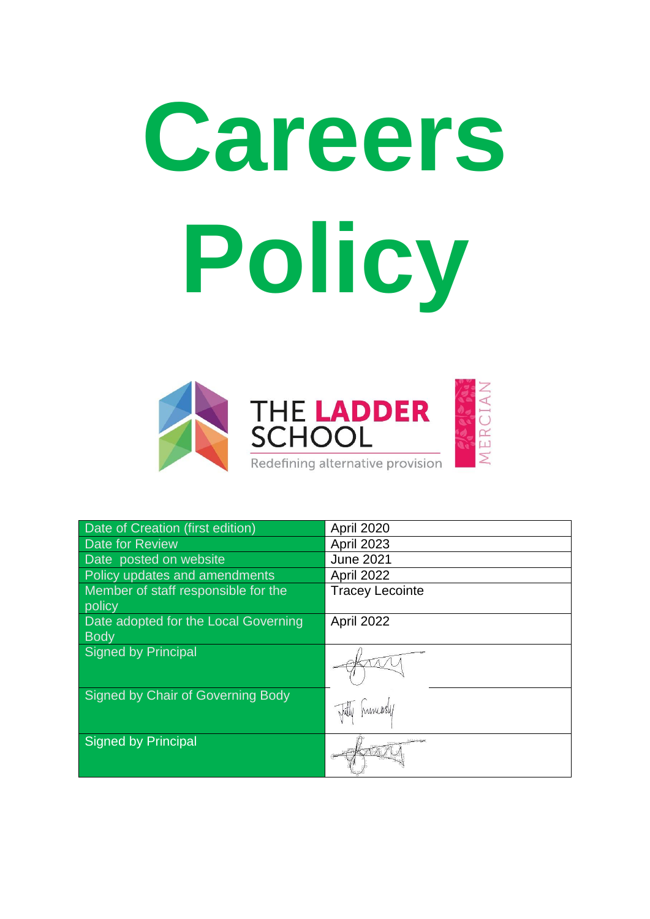# **Careers Policy**



| Date of Creation (first edition)              | April 2020             |
|-----------------------------------------------|------------------------|
| Date for Review                               | <b>April 2023</b>      |
| Date posted on website                        | <b>June 2021</b>       |
| Policy updates and amendments                 | April 2022             |
| Member of staff responsible for the<br>policy | <b>Tracey Lecointe</b> |
| Date adopted for the Local Governing          | April 2022             |
| <b>Body</b>                                   |                        |
| Signed by Principal                           |                        |
| Signed by Chair of Governing Body             | humers/                |
| Signed by Principal                           |                        |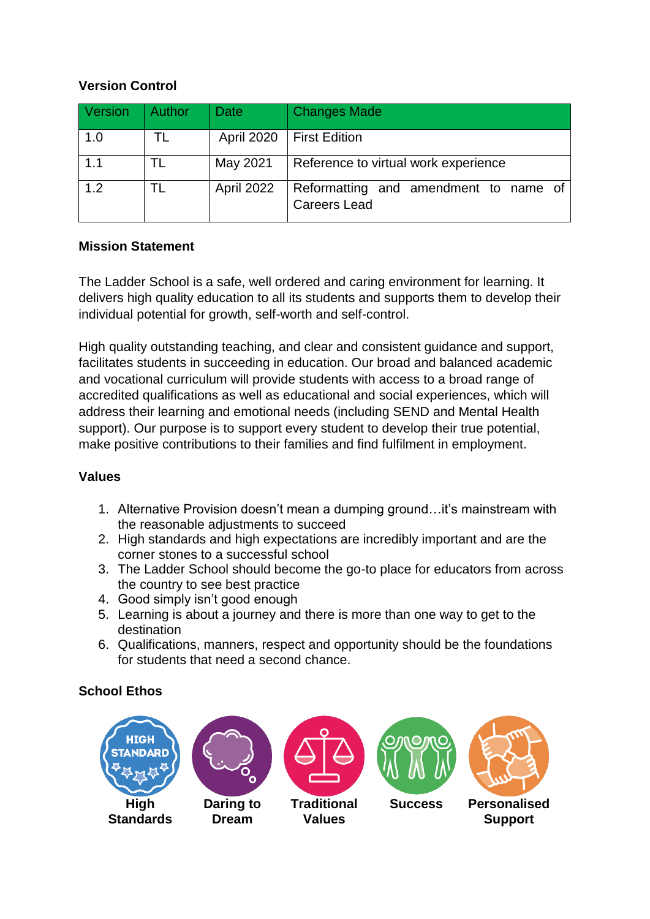#### **Version Control**

| Version | <b>Author</b> | Date       | <b>Changes Made</b>                                          |
|---------|---------------|------------|--------------------------------------------------------------|
| 1.0     |               | April 2020 | <b>First Edition</b>                                         |
| 1.1     |               | May 2021   | Reference to virtual work experience                         |
| 1.2     |               | April 2022 | Reformatting and amendment to name of<br><b>Careers Lead</b> |

#### **Mission Statement**

The Ladder School is a safe, well ordered and caring environment for learning. It delivers high quality education to all its students and supports them to develop their individual potential for growth, self-worth and self-control.

High quality outstanding teaching, and clear and consistent guidance and support, facilitates students in succeeding in education. Our broad and balanced academic and vocational curriculum will provide students with access to a broad range of accredited qualifications as well as educational and social experiences, which will address their learning and emotional needs (including SEND and Mental Health support). Our purpose is to support every student to develop their true potential, make positive contributions to their families and find fulfilment in employment.

#### **Values**

- 1. Alternative Provision doesn't mean a dumping ground…it's mainstream with the reasonable adjustments to succeed
- 2. High standards and high expectations are incredibly important and are the corner stones to a successful school
- 3. The Ladder School should become the go-to place for educators from across the country to see best practice
- 4. Good simply isn't good enough
- 5. Learning is about a journey and there is more than one way to get to the destination
- 6. Qualifications, manners, respect and opportunity should be the foundations for students that need a second chance.

#### **School Ethos**

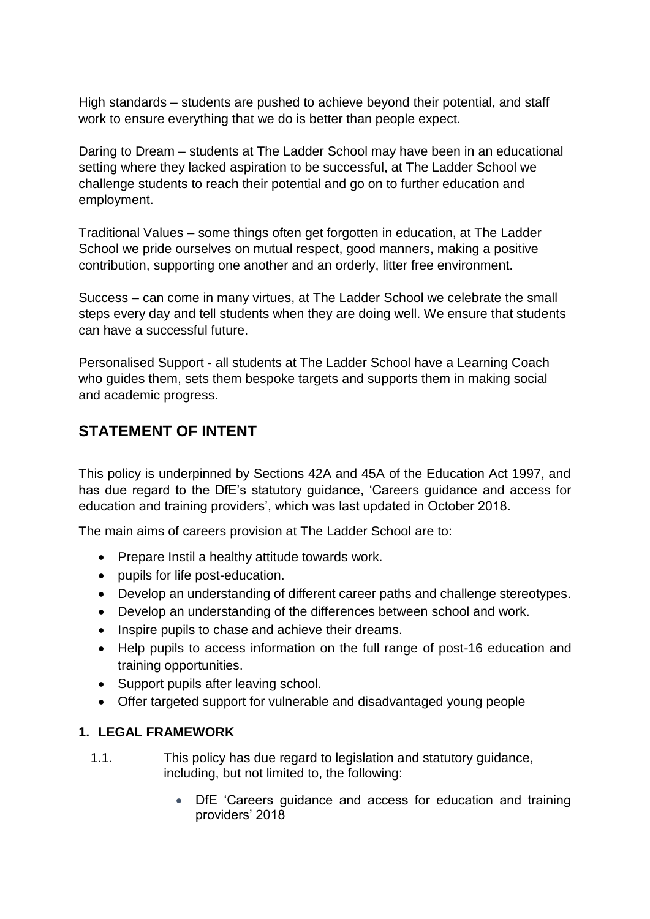High standards – students are pushed to achieve beyond their potential, and staff work to ensure everything that we do is better than people expect.

Daring to Dream – students at The Ladder School may have been in an educational setting where they lacked aspiration to be successful, at The Ladder School we challenge students to reach their potential and go on to further education and employment.

Traditional Values – some things often get forgotten in education, at The Ladder School we pride ourselves on mutual respect, good manners, making a positive contribution, supporting one another and an orderly, litter free environment.

Success – can come in many virtues, at The Ladder School we celebrate the small steps every day and tell students when they are doing well. We ensure that students can have a successful future.

Personalised Support - all students at The Ladder School have a Learning Coach who guides them, sets them bespoke targets and supports them in making social and academic progress.

## **STATEMENT OF INTENT**

This policy is underpinned by Sections 42A and 45A of the Education Act 1997, and has due regard to the DfE's statutory guidance, 'Careers guidance and access for education and training providers', which was last updated in October 2018.

The main aims of careers provision at The Ladder School are to:

- Prepare Instil a healthy attitude towards work.
- pupils for life post-education.
- Develop an understanding of different career paths and challenge stereotypes.
- Develop an understanding of the differences between school and work.
- Inspire pupils to chase and achieve their dreams.
- Help pupils to access information on the full range of post-16 education and training opportunities.
- Support pupils after leaving school.
- Offer targeted support for vulnerable and disadvantaged young people

#### **1. LEGAL FRAMEWORK**

- 1.1. This policy has due regard to legislation and statutory guidance, including, but not limited to, the following:
	- DfE 'Careers guidance and access for education and training providers' 2018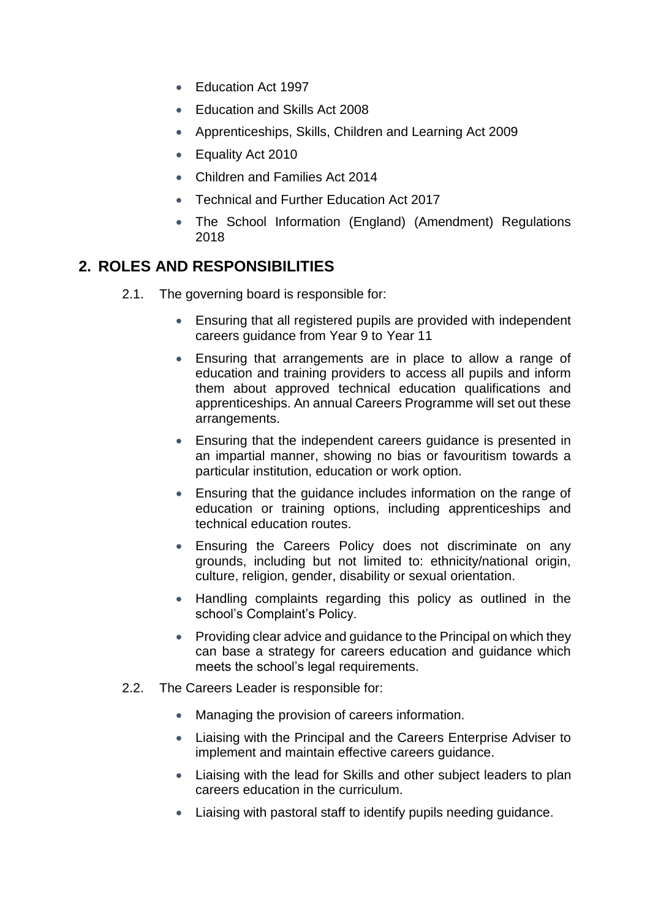- Education Act 1997
- Education and Skills Act 2008
- Apprenticeships, Skills, Children and Learning Act 2009
- Equality Act 2010
- Children and Families Act 2014
- **Technical and Further Education Act 2017**
- The School Information (England) (Amendment) Regulations 2018

# **2. ROLES AND RESPONSIBILITIES**

- 2.1. The governing board is responsible for:
	- Ensuring that all registered pupils are provided with independent careers guidance from Year 9 to Year 11
	- Ensuring that arrangements are in place to allow a range of education and training providers to access all pupils and inform them about approved technical education qualifications and apprenticeships. An annual Careers Programme will set out these arrangements.
	- Ensuring that the independent careers guidance is presented in an impartial manner, showing no bias or favouritism towards a particular institution, education or work option.
	- Ensuring that the guidance includes information on the range of education or training options, including apprenticeships and technical education routes.
	- Ensuring the Careers Policy does not discriminate on any grounds, including but not limited to: ethnicity/national origin, culture, religion, gender, disability or sexual orientation.
	- Handling complaints regarding this policy as outlined in the school's Complaint's Policy.
	- Providing clear advice and guidance to the Principal on which they can base a strategy for careers education and guidance which meets the school's legal requirements.
- 2.2. The Careers Leader is responsible for:
	- Managing the provision of careers information.
	- Liaising with the Principal and the Careers Enterprise Adviser to implement and maintain effective careers guidance.
	- Liaising with the lead for Skills and other subject leaders to plan careers education in the curriculum.
	- Liaising with pastoral staff to identify pupils needing guidance.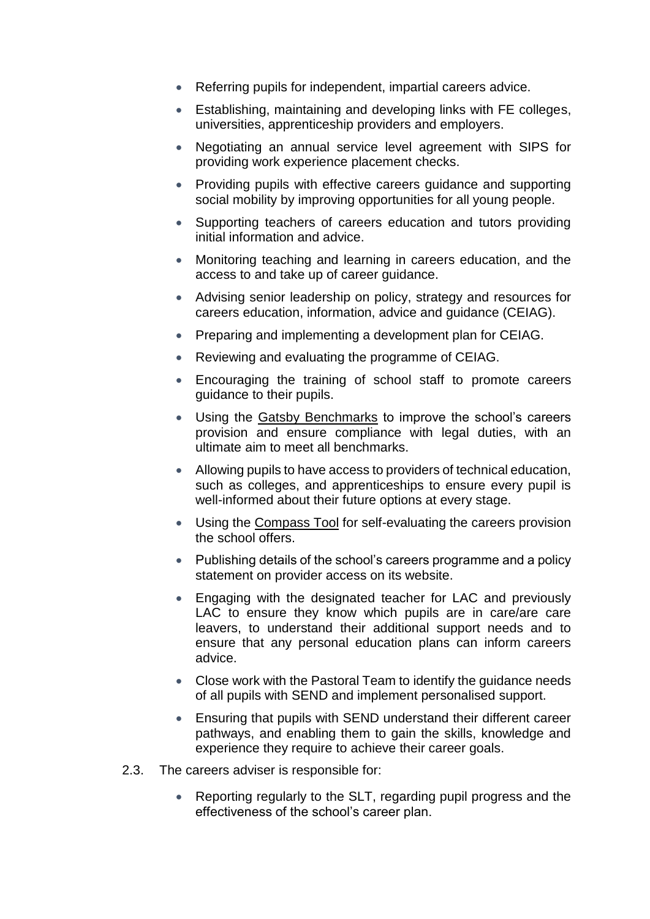- Referring pupils for independent, impartial careers advice.
- Establishing, maintaining and developing links with FE colleges, universities, apprenticeship providers and employers.
- Negotiating an annual service level agreement with SIPS for providing work experience placement checks.
- Providing pupils with effective careers guidance and supporting social mobility by improving opportunities for all young people.
- Supporting teachers of careers education and tutors providing initial information and advice.
- Monitoring teaching and learning in careers education, and the access to and take up of career guidance.
- Advising senior leadership on policy, strategy and resources for careers education, information, advice and guidance (CEIAG).
- Preparing and implementing a development plan for CEIAG.
- Reviewing and evaluating the programme of CEIAG.
- Encouraging the training of school staff to promote careers guidance to their pupils.
- Using the [Gatsby Benchmarks](http://www.gatsby.org.uk/education/focus-areas/good-career-guidance) to improve the school's careers provision and ensure compliance with legal duties, with an ultimate aim to meet all benchmarks.
- Allowing pupils to have access to providers of technical education, such as colleges, and apprenticeships to ensure every pupil is well-informed about their future options at every stage.
- Using the [Compass Tool](https://www.careersandenterprise.co.uk/schools-colleges/about-compass) for self-evaluating the careers provision the school offers.
- Publishing details of the school's careers programme and a policy statement on provider access on its website.
- Engaging with the designated teacher for LAC and previously LAC to ensure they know which pupils are in care/are care leavers, to understand their additional support needs and to ensure that any personal education plans can inform careers advice.
- Close work with the Pastoral Team to identify the guidance needs of all pupils with SEND and implement personalised support.
- Ensuring that pupils with SEND understand their different career pathways, and enabling them to gain the skills, knowledge and experience they require to achieve their career goals.
- 2.3. The careers adviser is responsible for:
	- Reporting regularly to the SLT, regarding pupil progress and the effectiveness of the school's career plan.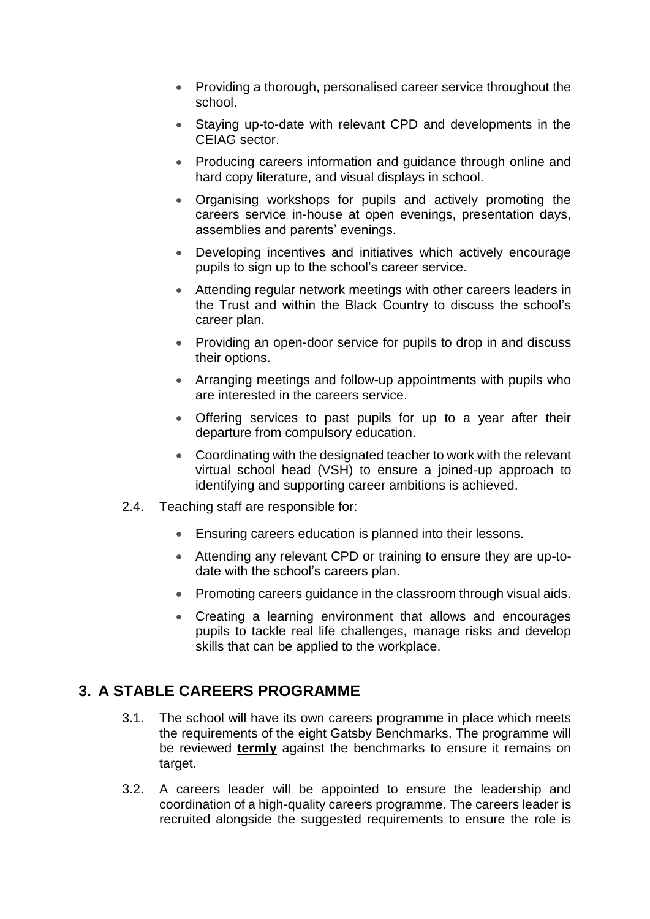- Providing a thorough, personalised career service throughout the school.
- Staying up-to-date with relevant CPD and developments in the CEIAG sector.
- Producing careers information and guidance through online and hard copy literature, and visual displays in school.
- Organising workshops for pupils and actively promoting the careers service in-house at open evenings, presentation days, assemblies and parents' evenings.
- Developing incentives and initiatives which actively encourage pupils to sign up to the school's career service.
- Attending regular network meetings with other careers leaders in the Trust and within the Black Country to discuss the school's career plan.
- Providing an open-door service for pupils to drop in and discuss their options.
- Arranging meetings and follow-up appointments with pupils who are interested in the careers service.
- Offering services to past pupils for up to a year after their departure from compulsory education.
- Coordinating with the designated teacher to work with the relevant virtual school head (VSH) to ensure a joined-up approach to identifying and supporting career ambitions is achieved.
- 2.4. Teaching staff are responsible for:
	- Ensuring careers education is planned into their lessons.
	- Attending any relevant CPD or training to ensure they are up-todate with the school's careers plan.
	- Promoting careers quidance in the classroom through visual aids.
	- Creating a learning environment that allows and encourages pupils to tackle real life challenges, manage risks and develop skills that can be applied to the workplace.

#### **3. A STABLE CAREERS PROGRAMME**

- 3.1. The school will have its own careers programme in place which meets the requirements of the eight Gatsby Benchmarks. The programme will be reviewed **termly** against the benchmarks to ensure it remains on target.
- 3.2. A careers leader will be appointed to ensure the leadership and coordination of a high-quality careers programme. The careers leader is recruited alongside the suggested requirements to ensure the role is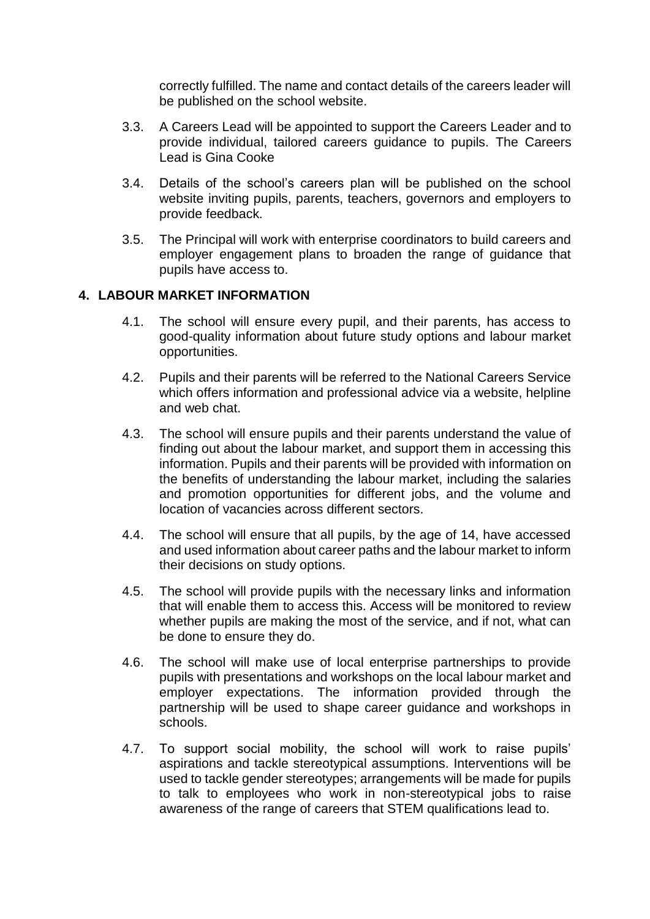correctly fulfilled. The name and contact details of the careers leader will be published on the school website.

- 3.3. A Careers Lead will be appointed to support the Careers Leader and to provide individual, tailored careers guidance to pupils. The Careers Lead is Gina Cooke
- 3.4. Details of the school's careers plan will be published on the school website inviting pupils, parents, teachers, governors and employers to provide feedback.
- 3.5. The Principal will work with enterprise coordinators to build careers and employer engagement plans to broaden the range of guidance that pupils have access to.

#### **4. LABOUR MARKET INFORMATION**

- 4.1. The school will ensure every pupil, and their parents, has access to good-quality information about future study options and labour market opportunities.
- 4.2. Pupils and their parents will be referred to the National Careers Service which offers information and professional advice via a website, helpline and web chat.
- 4.3. The school will ensure pupils and their parents understand the value of finding out about the labour market, and support them in accessing this information. Pupils and their parents will be provided with information on the benefits of understanding the labour market, including the salaries and promotion opportunities for different jobs, and the volume and location of vacancies across different sectors.
- 4.4. The school will ensure that all pupils, by the age of 14, have accessed and used information about career paths and the labour market to inform their decisions on study options.
- 4.5. The school will provide pupils with the necessary links and information that will enable them to access this. Access will be monitored to review whether pupils are making the most of the service, and if not, what can be done to ensure they do.
- 4.6. The school will make use of local enterprise partnerships to provide pupils with presentations and workshops on the local labour market and employer expectations. The information provided through the partnership will be used to shape career guidance and workshops in schools.
- 4.7. To support social mobility, the school will work to raise pupils' aspirations and tackle stereotypical assumptions. Interventions will be used to tackle gender stereotypes; arrangements will be made for pupils to talk to employees who work in non-stereotypical jobs to raise awareness of the range of careers that STEM qualifications lead to.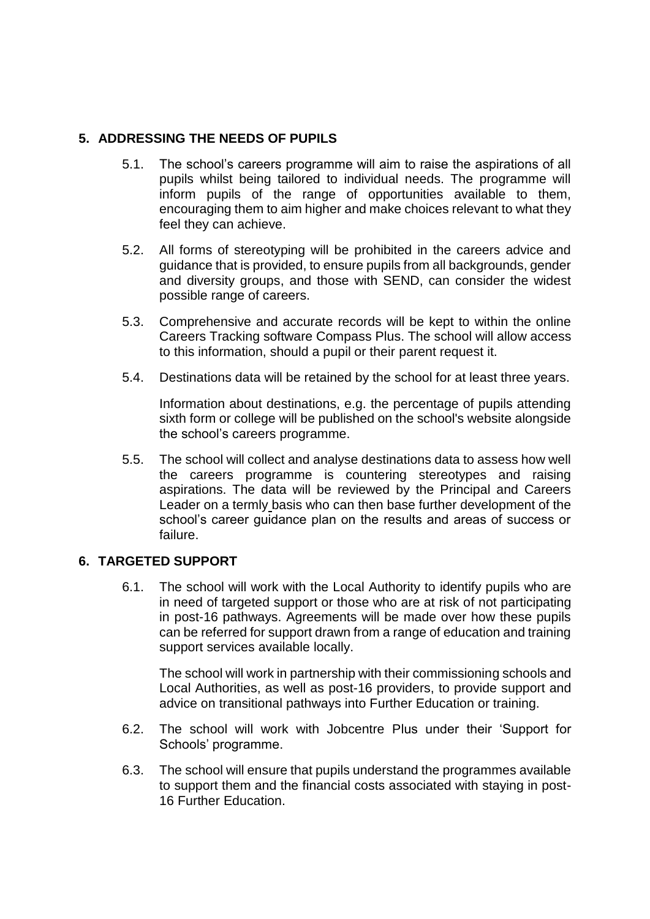#### **5. ADDRESSING THE NEEDS OF PUPILS**

- 5.1. The school's careers programme will aim to raise the aspirations of all pupils whilst being tailored to individual needs. The programme will inform pupils of the range of opportunities available to them, encouraging them to aim higher and make choices relevant to what they feel they can achieve.
- 5.2. All forms of stereotyping will be prohibited in the careers advice and guidance that is provided, to ensure pupils from all backgrounds, gender and diversity groups, and those with SEND, can consider the widest possible range of careers.
- 5.3. Comprehensive and accurate records will be kept to within the online Careers Tracking software Compass Plus. The school will allow access to this information, should a pupil or their parent request it.
- 5.4. Destinations data will be retained by the school for at least three years.

Information about destinations, e.g. the percentage of pupils attending sixth form or college will be published on the school's website alongside the school's careers programme.

5.5. The school will collect and analyse destinations data to assess how well the careers programme is countering stereotypes and raising aspirations. The data will be reviewed by the Principal and Careers Leader on a termly basis who can then base further development of the school's career guidance plan on the results and areas of success or failure.

#### **6. TARGETED SUPPORT**

6.1. The school will work with the Local Authority to identify pupils who are in need of targeted support or those who are at risk of not participating in post-16 pathways. Agreements will be made over how these pupils can be referred for support drawn from a range of education and training support services available locally.

The school will work in partnership with their commissioning schools and Local Authorities, as well as post-16 providers, to provide support and advice on transitional pathways into Further Education or training.

- 6.2. The school will work with Jobcentre Plus under their 'Support for Schools' programme.
- 6.3. The school will ensure that pupils understand the programmes available to support them and the financial costs associated with staying in post-16 Further Education.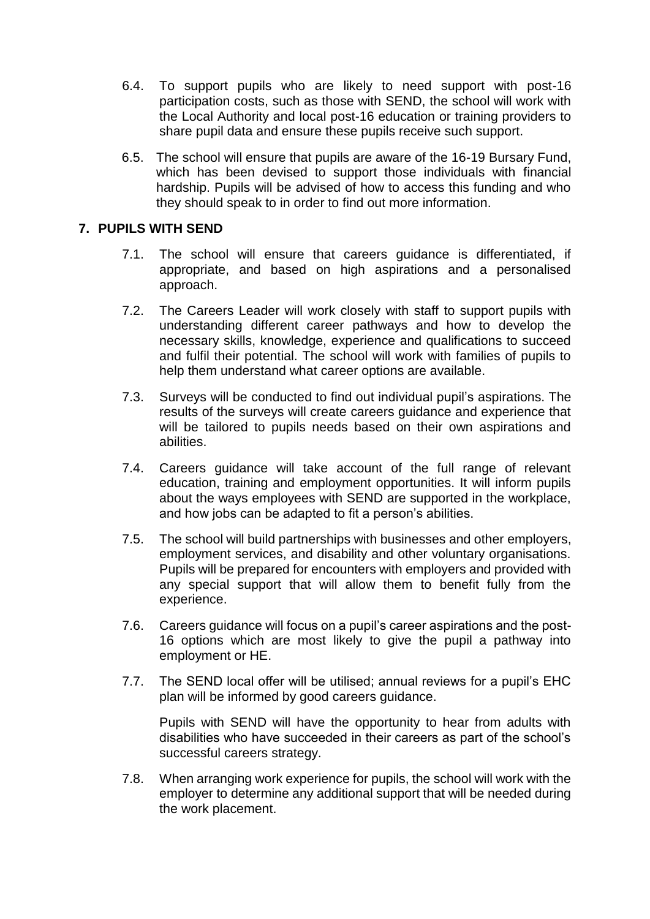- 6.4. To support pupils who are likely to need support with post-16 participation costs, such as those with SEND, the school will work with the Local Authority and local post-16 education or training providers to share pupil data and ensure these pupils receive such support.
- 6.5. The school will ensure that pupils are aware of the 16-19 Bursary Fund, which has been devised to support those individuals with financial hardship. Pupils will be advised of how to access this funding and who they should speak to in order to find out more information.

#### **7. PUPILS WITH SEND**

- 7.1. The school will ensure that careers guidance is differentiated, if appropriate, and based on high aspirations and a personalised approach.
- 7.2. The Careers Leader will work closely with staff to support pupils with understanding different career pathways and how to develop the necessary skills, knowledge, experience and qualifications to succeed and fulfil their potential. The school will work with families of pupils to help them understand what career options are available.
- 7.3. Surveys will be conducted to find out individual pupil's aspirations. The results of the surveys will create careers guidance and experience that will be tailored to pupils needs based on their own aspirations and abilities.
- 7.4. Careers guidance will take account of the full range of relevant education, training and employment opportunities. It will inform pupils about the ways employees with SEND are supported in the workplace, and how jobs can be adapted to fit a person's abilities.
- 7.5. The school will build partnerships with businesses and other employers, employment services, and disability and other voluntary organisations. Pupils will be prepared for encounters with employers and provided with any special support that will allow them to benefit fully from the experience.
- 7.6. Careers guidance will focus on a pupil's career aspirations and the post-16 options which are most likely to give the pupil a pathway into employment or HE.
- 7.7. The SEND local offer will be utilised; annual reviews for a pupil's EHC plan will be informed by good careers guidance.

Pupils with SEND will have the opportunity to hear from adults with disabilities who have succeeded in their careers as part of the school's successful careers strategy.

7.8. When arranging work experience for pupils, the school will work with the employer to determine any additional support that will be needed during the work placement.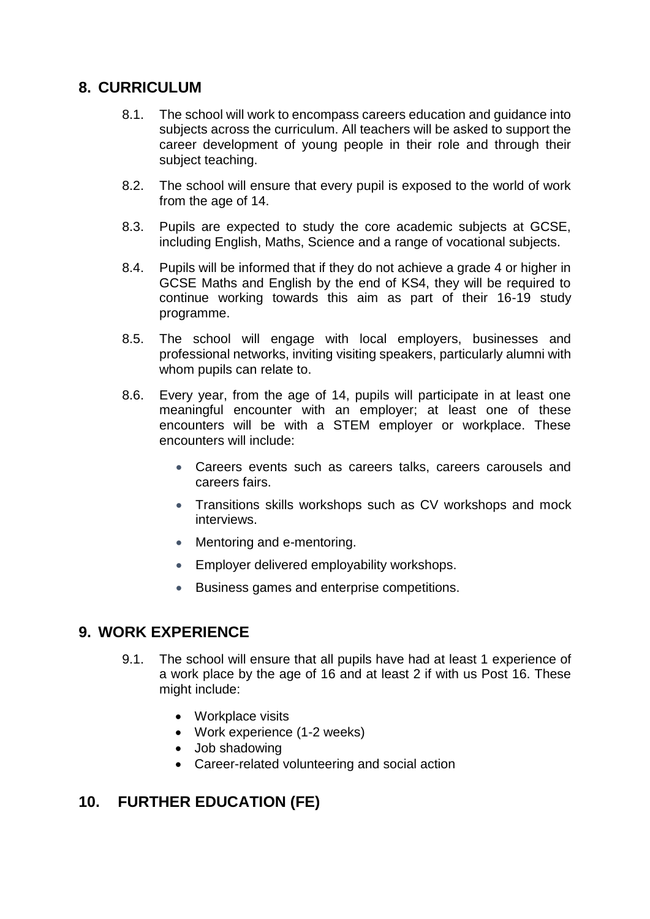#### **8. CURRICULUM**

- 8.1. The school will work to encompass careers education and guidance into subjects across the curriculum. All teachers will be asked to support the career development of young people in their role and through their subject teaching.
- 8.2. The school will ensure that every pupil is exposed to the world of work from the age of 14.
- 8.3. Pupils are expected to study the core academic subjects at GCSE, including English, Maths, Science and a range of vocational subjects.
- 8.4. Pupils will be informed that if they do not achieve a grade 4 or higher in GCSE Maths and English by the end of KS4, they will be required to continue working towards this aim as part of their 16-19 study programme.
- 8.5. The school will engage with local employers, businesses and professional networks, inviting visiting speakers, particularly alumni with whom pupils can relate to.
- 8.6. Every year, from the age of 14, pupils will participate in at least one meaningful encounter with an employer; at least one of these encounters will be with a STEM employer or workplace. These encounters will include:
	- Careers events such as careers talks, careers carousels and careers fairs.
	- Transitions skills workshops such as CV workshops and mock interviews.
	- Mentoring and e-mentoring.
	- Employer delivered employability workshops.
	- Business games and enterprise competitions.

## **9. WORK EXPERIENCE**

- 9.1. The school will ensure that all pupils have had at least 1 experience of a work place by the age of 16 and at least 2 if with us Post 16. These might include:
	- Workplace visits
	- Work experience (1-2 weeks)
	- Job shadowing
	- Career-related volunteering and social action

## **10. FURTHER EDUCATION (FE)**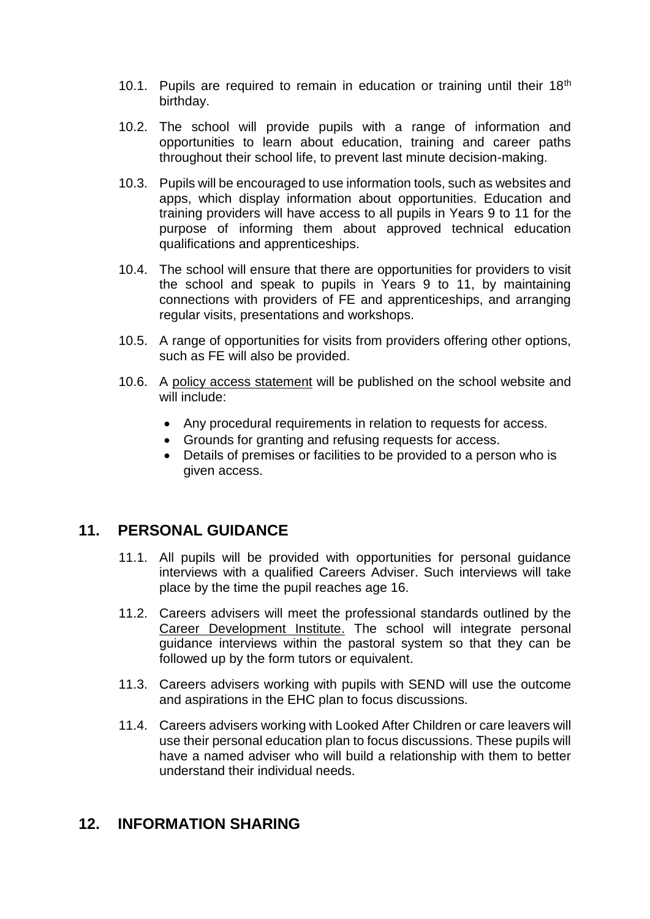- 10.1. Pupils are required to remain in education or training until their 18<sup>th</sup> birthday.
- 10.2. The school will provide pupils with a range of information and opportunities to learn about education, training and career paths throughout their school life, to prevent last minute decision-making.
- 10.3. Pupils will be encouraged to use information tools, such as websites and apps, which display information about opportunities. Education and training providers will have access to all pupils in Years 9 to 11 for the purpose of informing them about approved technical education qualifications and apprenticeships.
- 10.4. The school will ensure that there are opportunities for providers to visit the school and speak to pupils in Years 9 to 11, by maintaining connections with providers of FE and apprenticeships, and arranging regular visits, presentations and workshops.
- 10.5. A range of opportunities for visits from providers offering other options, such as FE will also be provided.
- 10.6. A policy access statement will be published on the school website and will include:
	- Any procedural requirements in relation to requests for access.
	- Grounds for granting and refusing requests for access.
	- Details of premises or facilities to be provided to a person who is given access.

#### **11. PERSONAL GUIDANCE**

- 11.1. All pupils will be provided with opportunities for personal guidance interviews with a qualified Careers Adviser. Such interviews will take place by the time the pupil reaches age 16.
- 11.2. Careers advisers will meet the professional standards outlined by the [Career Development Institute.](http://www.thecdi.net/Professional-Register-) The school will integrate personal guidance interviews within the pastoral system so that they can be followed up by the form tutors or equivalent.
- 11.3. Careers advisers working with pupils with SEND will use the outcome and aspirations in the EHC plan to focus discussions.
- 11.4. Careers advisers working with Looked After Children or care leavers will use their personal education plan to focus discussions. These pupils will have a named adviser who will build a relationship with them to better understand their individual needs.

## **12. INFORMATION SHARING**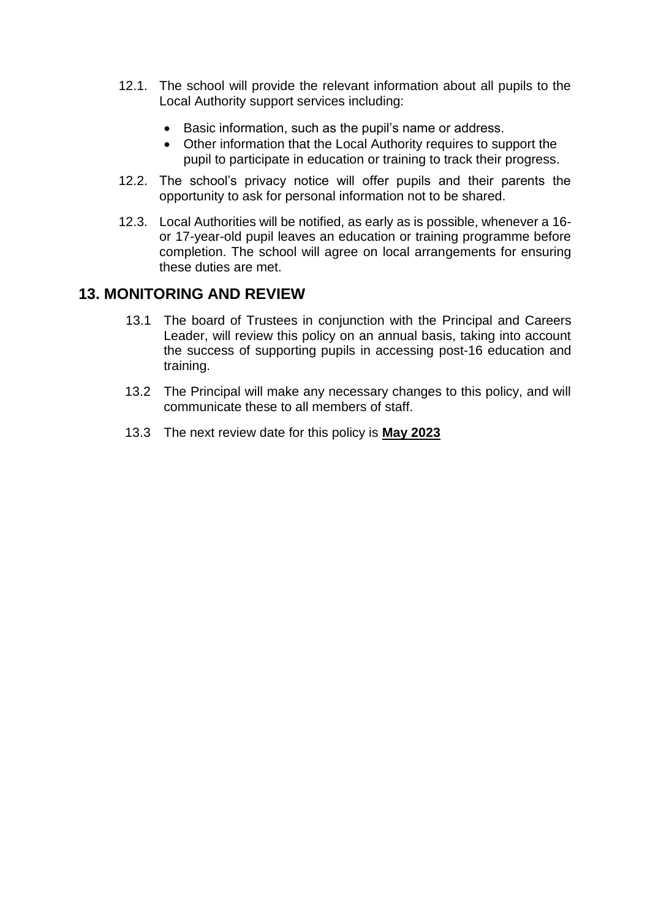- 12.1. The school will provide the relevant information about all pupils to the Local Authority support services including:
	- Basic information, such as the pupil's name or address.
	- Other information that the Local Authority requires to support the pupil to participate in education or training to track their progress.
- 12.2. The school's privacy notice will offer pupils and their parents the opportunity to ask for personal information not to be shared.
- 12.3. Local Authorities will be notified, as early as is possible, whenever a 16 or 17-year-old pupil leaves an education or training programme before completion. The school will agree on local arrangements for ensuring these duties are met.

#### **13. MONITORING AND REVIEW**

- 13.1 The board of Trustees in conjunction with the Principal and Careers Leader, will review this policy on an annual basis, taking into account the success of supporting pupils in accessing post-16 education and training.
- 13.2 The Principal will make any necessary changes to this policy, and will communicate these to all members of staff.
- 13.3 The next review date for this policy is **May 2023**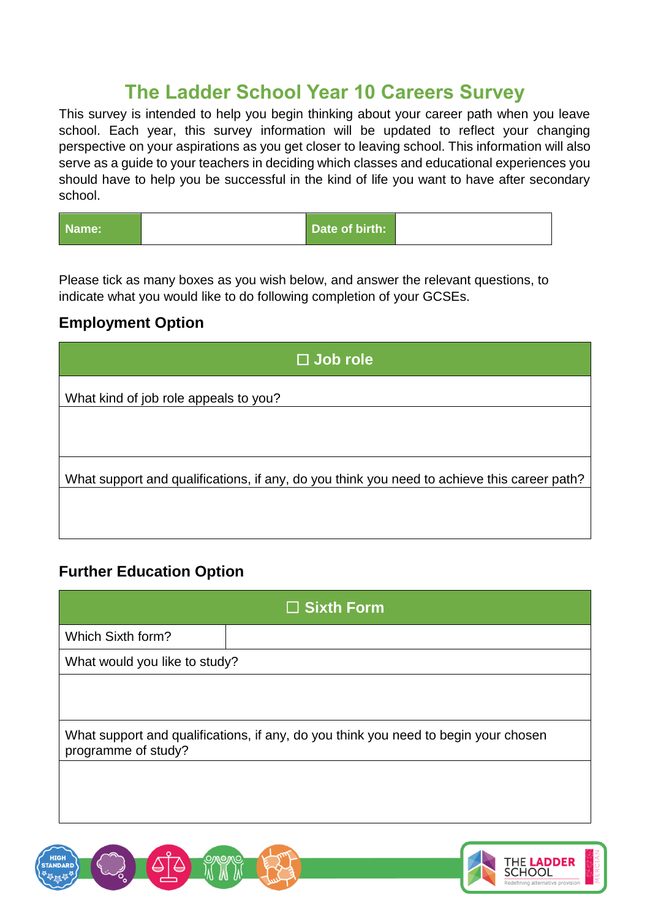# **The Ladder School Year 10 Careers Survey**

This survey is intended to help you begin thinking about your career path when you leave school. Each year, this survey information will be updated to reflect your changing perspective on your aspirations as you get closer to leaving school. This information will also serve as a guide to your teachers in deciding which classes and educational experiences you should have to help you be successful in the kind of life you want to have after secondary school.

| Name: | Date of birth: |
|-------|----------------|
|-------|----------------|

Please tick as many boxes as you wish below, and answer the relevant questions, to indicate what you would like to do following completion of your GCSEs.

## **Employment Option**

# **Further Education Option**

| $\Box$ Sixth Form                                                                                          |  |  |
|------------------------------------------------------------------------------------------------------------|--|--|
| Which Sixth form?                                                                                          |  |  |
| What would you like to study?                                                                              |  |  |
|                                                                                                            |  |  |
| What support and qualifications, if any, do you think you need to begin your chosen<br>programme of study? |  |  |
|                                                                                                            |  |  |
|                                                                                                            |  |  |

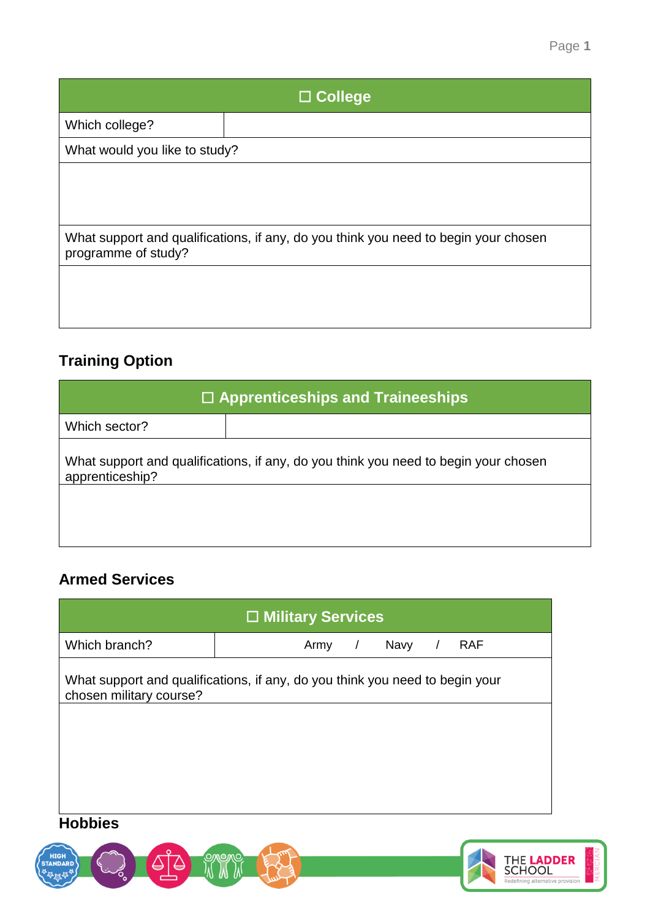| $\Box$ College                |                                                                                     |  |
|-------------------------------|-------------------------------------------------------------------------------------|--|
| Which college?                |                                                                                     |  |
| What would you like to study? |                                                                                     |  |
|                               |                                                                                     |  |
|                               |                                                                                     |  |
| programme of study?           | What support and qualifications, if any, do you think you need to begin your chosen |  |
|                               |                                                                                     |  |
|                               |                                                                                     |  |
|                               |                                                                                     |  |

# **Training Option**

| $\Box$ Apprenticeships and Traineeships                                                                |  |  |
|--------------------------------------------------------------------------------------------------------|--|--|
| Which sector?                                                                                          |  |  |
| What support and qualifications, if any, do you think you need to begin your chosen<br>apprenticeship? |  |  |
|                                                                                                        |  |  |
|                                                                                                        |  |  |

# **Armed Services**

| $\Box$ Military Services |                                                                              |  |  |
|--------------------------|------------------------------------------------------------------------------|--|--|
| Which branch?            | Navy<br><b>RAF</b><br>Army<br>$\prime$<br>$\prime$                           |  |  |
| chosen military course?  | What support and qualifications, if any, do you think you need to begin your |  |  |
| <b>Hobbies</b>           |                                                                              |  |  |



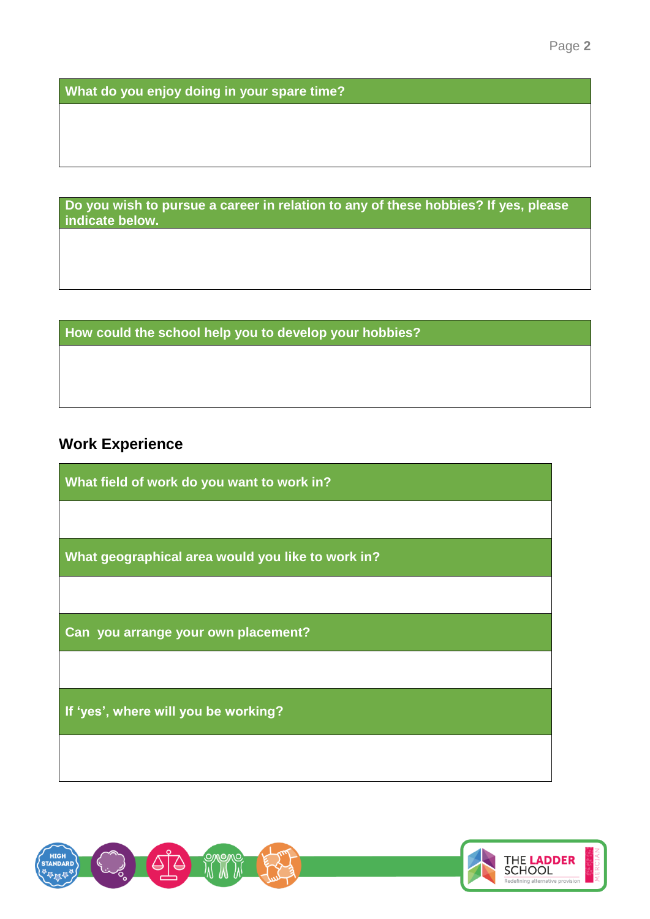**What do you enjoy doing in your spare time?**

**Do you wish to pursue a career in relation to any of these hobbies? If yes, please indicate below.**

**How could the school help you to develop your hobbies?**

# **Work Experience**

**What field of work do you want to work in?**

**What geographical area would you like to work in?**

**Can you arrange your own placement?**

**If 'yes', where will you be working?**



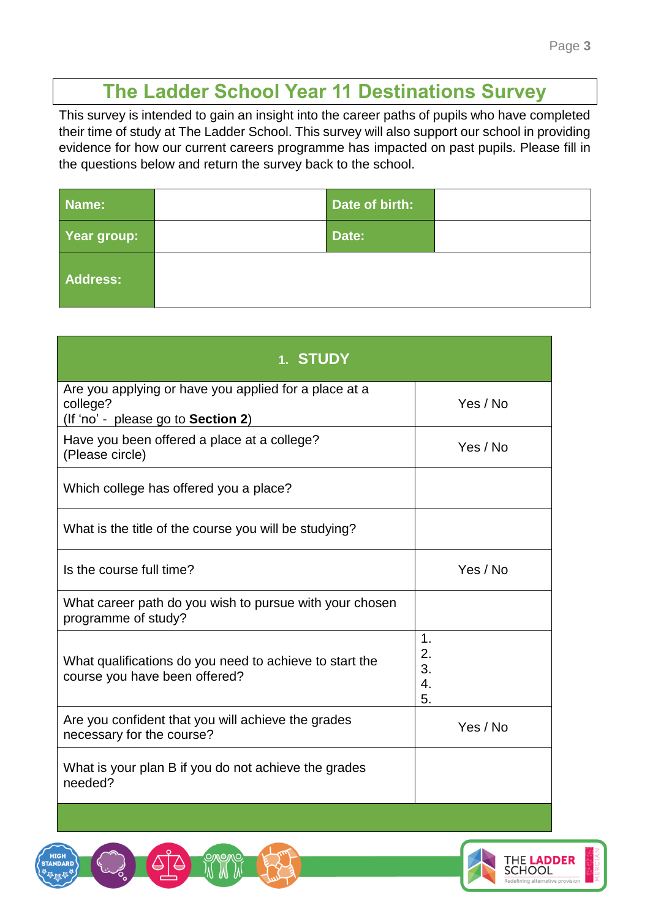# **The Ladder School Year 11 Destinations Survey**

This survey is intended to gain an insight into the career paths of pupils who have completed their time of study at The Ladder School. This survey will also support our school in providing evidence for how our current careers programme has impacted on past pupils. Please fill in the questions below and return the survey back to the school.

| Name:       | <b>Date of birth:</b> |  |
|-------------|-----------------------|--|
| Year group: | Date:                 |  |
| Address:    |                       |  |

| 1. STUDY                                                                                                |                                     |
|---------------------------------------------------------------------------------------------------------|-------------------------------------|
| Are you applying or have you applied for a place at a<br>college?<br>(If 'no' - please go to Section 2) | Yes / No                            |
| Have you been offered a place at a college?<br>(Please circle)                                          | Yes / No                            |
| Which college has offered you a place?                                                                  |                                     |
| What is the title of the course you will be studying?                                                   |                                     |
| Is the course full time?                                                                                | Yes / No                            |
| What career path do you wish to pursue with your chosen<br>programme of study?                          |                                     |
| What qualifications do you need to achieve to start the<br>course you have been offered?                | $\mathbf 1$<br>2.<br>3.<br>4.<br>5. |
| Are you confident that you will achieve the grades<br>necessary for the course?                         | Yes / No                            |
| What is your plan B if you do not achieve the grades<br>needed?                                         |                                     |

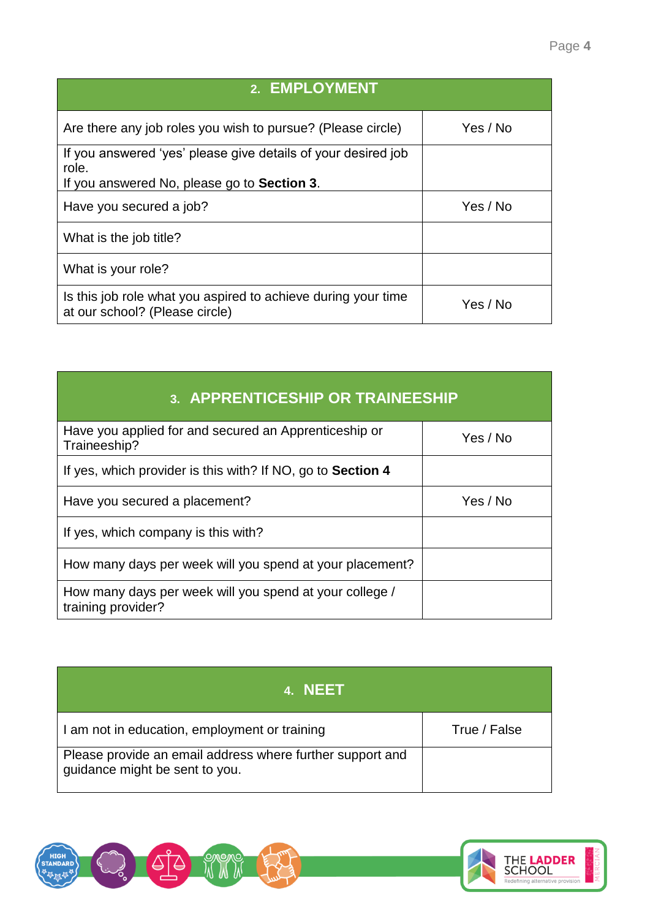| 2. EMPLOYMENT                                                                                                         |          |
|-----------------------------------------------------------------------------------------------------------------------|----------|
| Are there any job roles you wish to pursue? (Please circle)                                                           | Yes / No |
| If you answered 'yes' please give details of your desired job<br>role.<br>If you answered No, please go to Section 3. |          |
| Have you secured a job?                                                                                               | Yes / No |
| What is the job title?                                                                                                |          |
| What is your role?                                                                                                    |          |
| Is this job role what you aspired to achieve during your time<br>at our school? (Please circle)                       | Yes / No |

| 3. APPRENTICESHIP OR TRAINEESHIP                                              |          |  |
|-------------------------------------------------------------------------------|----------|--|
| Have you applied for and secured an Apprenticeship or<br>Traineeship?         | Yes / No |  |
| If yes, which provider is this with? If NO, go to Section 4                   |          |  |
| Have you secured a placement?                                                 | Yes / No |  |
| If yes, which company is this with?                                           |          |  |
| How many days per week will you spend at your placement?                      |          |  |
| How many days per week will you spend at your college /<br>training provider? |          |  |

| 4. NEET                                                                                     |              |
|---------------------------------------------------------------------------------------------|--------------|
| I am not in education, employment or training                                               | True / False |
| Please provide an email address where further support and<br>guidance might be sent to you. |              |





 $\mathsf{l}$